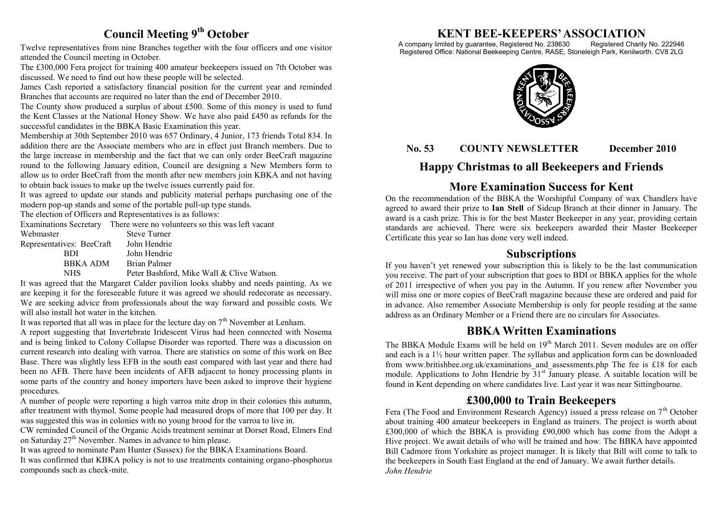## **Council Meeting 9th October**

Twelve representatives from nine Branches together with the four officers and one visitor attended the Council meeting in October.

The £300,000 Fera project for training 400 amateur beekeepers issued on 7th October was discussed. We need to find out how these people will be selected.

James Cash reported a satisfactory financial position for the current year and reminded Branches that accounts are required no later than the end of December 2010.

The County show produced a surplus of about £500. Some of this money is used to fund the Kent Classes at the National Honey Show. We have also paid £450 as refunds for the successful candidates in the BBKA Basic Examination this year.

Membership at 30th September 2010 was 657 Ordinary, 4 Junior, 173 friends Total 834. In addition there are the Associate members who are in effect just Branch members. Due to the large increase in membership and the fact that we can only order BeeCraft magazine round to the following January edition, Council are designing a New Members form to allow us to order BeeCraft from the month after new members join KBKA and not having to obtain back issues to make up the twelve issues currently paid for.

It was agreed to update our stands and publicity material perhaps purchasing one of the modern pop-up stands and some of the portable pull-up type stands.

The election of Officers and Representatives is as follows:

Examinations Secretary There were no volunteers so this was left vacant

| Webmaster                 | <b>Steve Turner</b>                       |
|---------------------------|-------------------------------------------|
| Representatives: BeeCraft | John Hendrie                              |
| RDI                       | John Hendrie                              |
| BBKA ADM                  | Brian Palmer                              |
| NHS                       | Peter Bashford, Mike Wall & Clive Watson. |

It was agreed that the Margaret Calder pavilion looks shabby and needs painting. As we are keeping it for the foreseeable future it was agreed we should redecorate as necessary. We are seeking advice from professionals about the way forward and possible costs. We will also install hot water in the kitchen.

It was reported that all was in place for the lecture day on  $7<sup>th</sup>$  November at Lenham.

A report suggesting that Invertebrate Iridescent Virus had been connected with Nosema and is being linked to Colony Collapse Disorder was reported. There was a discussion on current research into dealing with varroa. There are statistics on some of this work on Bee Base. There was slightly less EFB in the south east compared with last year and there had been no AFB. There have been incidents of AFB adjacent to honey processing plants in some parts of the country and honey importers have been asked to improve their hygiene procedures.

A number of people were reporting a high varroa mite drop in their colonies this autumn, after treatment with thymol. Some people had measured drops of more that 100 per day. It was suggested this was in colonies with no young brood for the varroa to live in.

CW reminded Council of the Organic Acids treatment seminar at Dorset Road, Elmers End on Saturday  $27<sup>th</sup>$  November. Names in advance to him please.

It was agreed to nominate Pam Hunter (Sussex) for the BBKA Examinations Board. It was confirmed that KBKA policy is not to use treatments containing organo-phosphorus compounds such as check-mite.

# **KENT BEE-KEEPERS' ASSOCIATION**<br>imited by guarantee, Registered No. 238630 Registered Charity No. 222946

A company limited by guarantee, Registered No. 238630 Registered Office: National Beekeeping Centre, RASE, Stoneleigh Park, Kenilworth. CV8 2LG



#### **No. 53 COUNTY NEWSLETTER December 2010**

## **Happy Christmas to all Beekeepers and Friends**

## **More Examination Success for Kent**

On the recommendation of the BBKA the Worshipful Company of wax Chandlers have agreed to award their prize to **Ian Stell** of Sidcup Branch at their dinner in January. The award is a cash prize. This is for the best Master Beekeeper in any year, providing certain standards are achieved. There were six beekeepers awarded their Master Beekeeper Certificate this year so Ian has done very well indeed.

#### **Subscriptions**

If you haven't yet renewed your subscription this is likely to be the last communication you receive. The part of your subscription that goes to BDI or BBKA applies for the whole of 2011 irrespective of when you pay in the Autumn. If you renew after November you will miss one or more copies of BeeCraft magazine because these are ordered and paid for in advance. Also remember Associate Membership is only for people residing at the same address as an Ordinary Member or a Friend there are no circulars for Associates.

#### **BBKA Written Examinations**

The BBKA Module Exams will be held on  $19<sup>th</sup>$  March 2011. Seven modules are on offer and each is a 1½ hour written paper. The syllabus and application form can be downloaded from www.britishbee.org.uk/examinations\_and\_assessments.php The fee is £18 for each module. Applications to John Hendrie by  $31<sup>st</sup>$  January please. A suitable location will be found in Kent depending on where candidates live. Last year it was near Sittingbourne.

#### **£300,000 to Train Beekeepers**

Fera (The Food and Environment Research Agency) issued a press release on  $7<sup>th</sup>$  October about training 400 amateur beekeepers in England as trainers. The project is worth about £300,000 of which the BBKA is providing £90,000 which has come from the Adopt a Hive project. We await details of who will be trained and how. The BBKA have appointed Bill Cadmore from Yorkshire as project manager. It is likely that Bill will come to talk to the beekeepers in South East England at the end of January. We await further details. *John Hendrie*